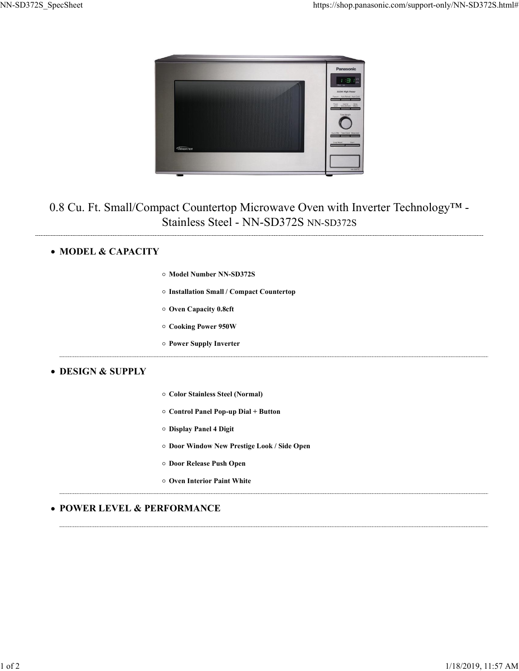

## Color Stainless Steel (Normal)<br>
Color Stainless Steel - NN-SD372S NN-SD372S<br>
Model Number NN-SD372S<br>
Model Number NN-SD372S<br>
Model Number NN-SD372S<br>
Model Number NN-SD372S<br>
Model Number NN-SD372S<br>
Color Stainless Steel (No ret Countertop Microwave Oven with Inverter Technology<sup>TM</sup><br>
1<br>
stainless Steel - NN-SD372S NN-SD372S<br>
Model Number NN-SD372S<br>
Model Number NN-SD372S<br>
Model Number NN-SD372S<br>
Cover Capacity 0.8eft<br>
Cooking Power 950W<br>
Power Let Countertop Microwave Overt with Inverter recintorogy<br>
Harinless Steel - NN-SD372S NN-SD372S<br>
Model Number NN-SD372S<br>
Model Number NN-SD372S<br>
Model Number NN-SD372S<br>
Distallation Small / Compat Countertop<br>
Over Capacity Examples Dreed Press (Northern Magnetics Countertop<br>Installation Small / Compact Countertop<br>Oven Capacity 0.8eft<br>Cooking Power 950W<br>Power Supply Inverter<br>Color Stainless Steel (Normal)<br>Oontrol Panel 4 Digit<br>Door Window New 0.8 Cu. Ft. Small/Compact Countertop Microwave Oven with Inverter Technology™ - Stainless Steel - NN-SD372S NN-SD372S

## • MODEL & CAPACITY

|  |  |  | ○ Model Number NN-SD372S |
|--|--|--|--------------------------|
|--|--|--|--------------------------|

- 
- 
- 
- 

### DESIGN & SUPPLY

- 
- 
- 
- Model Number NN-SD372S<br>Installation Small / Compact Countertop<br>Oven Capacity 0.8cft<br>Cooking Power 950W<br>Power Supply Inverter<br>Cooking Power Supply Inverter<br>Cooking Panel 4 Digit<br>Poor Nindow New Prestige Look / Side Open<br>Doo Model Number NN-SD372S<br>Installation Small / Compact Countertop<br>Oven Capacity 0.8cft<br>Cooking Power 950W<br>Power Supply Inverter<br>Cooking Power Supply Inverter<br>Of Stainless Steel (Normal)<br>Ocontrol Panel 4 Digit<br>Door Window New
- 
- 

# **• POWER LEVEL & PERFORMANCE**  $\footnotesize{^{2.1060^{\circ}}}$  Window New Presige Laok / Side Upen<br> $\footnotesize{^{2.1060^{\circ}}}$   $\footnotesize{Poor Relese}$  Paint White<br> $\footnotesize{\bullet}$  POWER LEVEL & PERFORMANCE<br> $\footnotesize{\bullet}$   $\footnotesize{1062}$ <br> $\footnotesize{118/2019, 11:57}$  AM